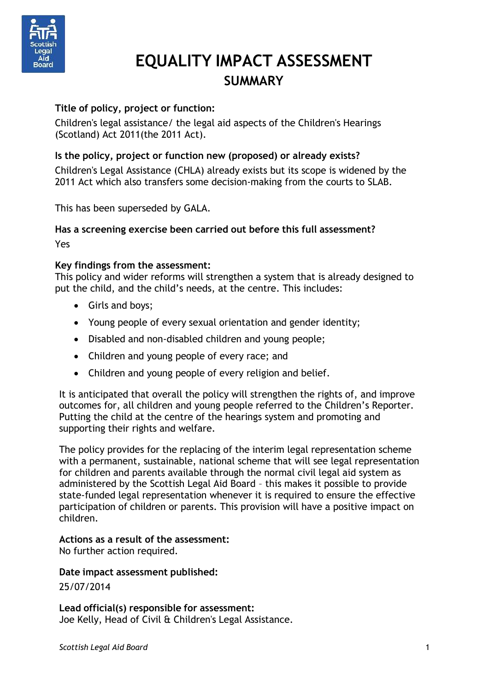

# **EQUALITY IMPACT ASSESSMENT SUMMARY**

## **Title of policy, project or function:**

Children's legal assistance/ the legal aid aspects of the Children's Hearings (Scotland) Act 2011(the 2011 Act).

#### **Is the policy, project or function new (proposed) or already exists?**

Children's Legal Assistance (CHLA) already exists but its scope is widened by the 2011 Act which also transfers some decision-making from the courts to SLAB.

This has been superseded by GALA.

#### **Has a screening exercise been carried out before this full assessment?** Yes

#### **Key findings from the assessment:**

This policy and wider reforms will strengthen a system that is already designed to put the child, and the child's needs, at the centre. This includes:

- Girls and boys;
- Young people of every sexual orientation and gender identity;
- Disabled and non-disabled children and young people;
- Children and young people of every race; and
- Children and young people of every religion and belief.

It is anticipated that overall the policy will strengthen the rights of, and improve outcomes for, all children and young people referred to the Children's Reporter. Putting the child at the centre of the hearings system and promoting and supporting their rights and welfare.

The policy provides for the replacing of the interim legal representation scheme with a permanent, sustainable, national scheme that will see legal representation for children and parents available through the normal civil legal aid system as administered by the Scottish Legal Aid Board – this makes it possible to provide state-funded legal representation whenever it is required to ensure the effective participation of children or parents. This provision will have a positive impact on children.

#### **Actions as a result of the assessment:**

No further action required.

#### **Date impact assessment published:**

25/07/2014

**Lead official(s) responsible for assessment:** Joe Kelly, Head of Civil & Children's Legal Assistance.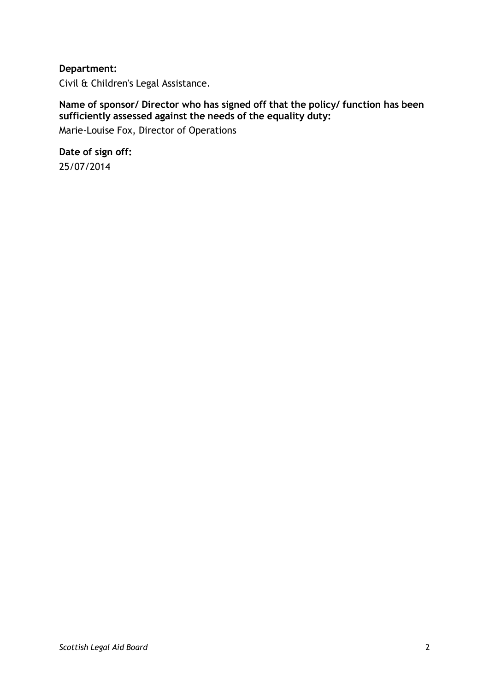#### **Department:**

Civil & Children's Legal Assistance.

# **Name of sponsor/ Director who has signed off that the policy/ function has been sufficiently assessed against the needs of the equality duty:**

Marie-Louise Fox, Director of Operations

**Date of sign off:** 25/07/2014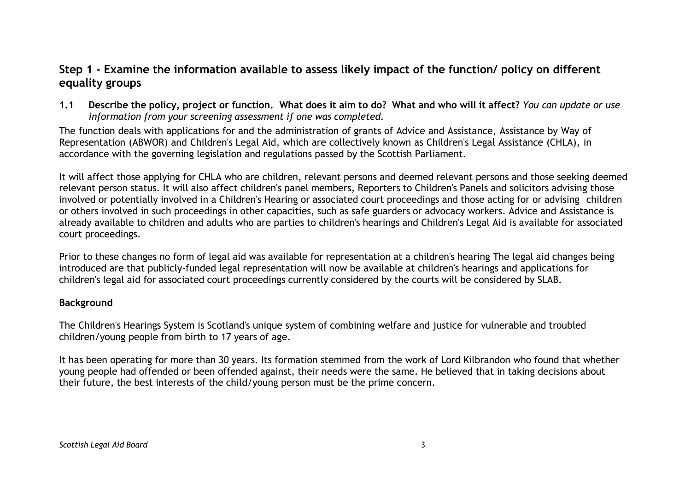# **Step 1 - Examine the information available to assess likely impact of the function/ policy on different equality groups**

1.1 Describe the policy, project or function. What does it aim to do? What and who will it affect? You can update or use *information from your screening assessment if one was completed.*

The function deals with applications for and the administration of grants of Advice and Assistance, Assistance by Way of Representation (ABWOR) and Children's Legal Aid, which are collectively known as Children's Legal Assistance (CHLA), in accordance with the governing legislation and regulations passed by the Scottish Parliament.

It will affect those applying for CHLA who are children, relevant persons and deemed relevant persons and those seeking deemed relevant person status. It will also affect children's panel members, Reporters to Children's Panels and solicitors advising those involved or potentially involved in a Children's Hearing or associated court proceedings and those acting for or advising children or others involved in such proceedings in other capacities, such as safe guarders or advocacy workers. Advice and Assistance is already available to children and adults who are parties to children's hearings and Children's Legal Aid is available for associated court proceedings.

Prior to these changes no form of legal aid was available for representation at a children's hearing The legal aid changes being introduced are that publicly-funded legal representation will now be available at children's hearings and applications for children's legal aid for associated court proceedings currently considered by the courts will be considered by SLAB.

#### **Background**

The Children's Hearings System is Scotland's unique system of combining welfare and justice for vulnerable and troubled children/young people from birth to 17 years of age.

It has been operating for more than 30 years. Its formation stemmed from the work of Lord Kilbrandon who found that whether young people had offended or been offended against, their needs were the same. He believed that in taking decisions about their future, the best interests of the child/young person must be the prime concern.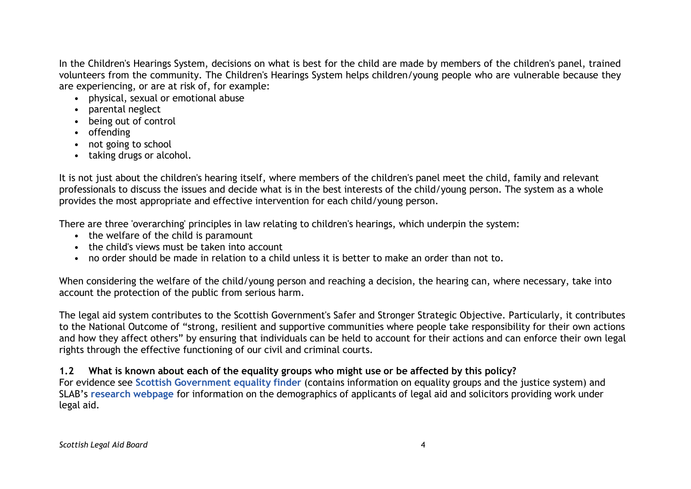In the Children's Hearings System, decisions on what is best for the child are made by members of the children's panel, trained volunteers from the community. The Children's Hearings System helps children/young people who are vulnerable because they are experiencing, or are at risk of, for example:

- physical, sexual or emotional abuse
- parental neglect
- being out of control
- offending
- not going to school
- taking drugs or alcohol.

It is not just about the children's hearing itself, where members of the children's panel meet the child, family and relevant professionals to discuss the issues and decide what is in the best interests of the child/young person. The system as a whole provides the most appropriate and effective intervention for each child/young person.

There are three 'overarching' principles in law relating to children's hearings, which underpin the system:

- the welfare of the child is paramount
- the child's views must be taken into account
- no order should be made in relation to a child unless it is better to make an order than not to.

When considering the welfare of the child/young person and reaching a decision, the hearing can, where necessary, take into account the protection of the public from serious harm.

The legal aid system contributes to the Scottish Government's Safer and Stronger Strategic Objective. Particularly, it contributes to the National Outcome of "strong, resilient and supportive communities where people take responsibility for their own actions and how they affect others" by ensuring that individuals can be held to account for their actions and can enforce their own legal rights through the effective functioning of our civil and criminal courts.

# 1.2 What is known about each of the equality groups who might use or be affected by this policy?

For evidence see **Scottish [Government](http://www.scotland.gov.uk/Topics/People/Equality/Equalities/DataGrid) equality finder** (contains information on equality groups and the justice system) and SLAB's **research [webpage](http://www.slab.org.uk/about-us/what-we-do/research/index.html)** for information on the demographics of applicants of legal aid and solicitors providing work under legal aid.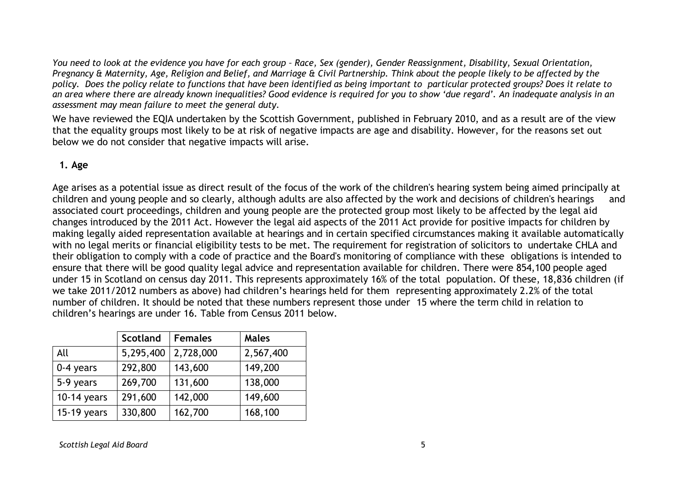You need to look at the evidence you have for each group - Race, Sex (gender), Gender Reassignment, Disability, Sexual Orientation, Pregnancy & Maternity, Age, Religion and Belief, and Marriage & Civil Partnership. Think about the people likely to be affected by the policy. Does the policy relate to functions that have been identified as being important to particular protected groups? Does it relate to an area where there are already known inequalities? Good evidence is required for you to show 'due regard'. An inadequate analysis in an *assessment may mean failure to meet the general duty.*

We have reviewed the EQIA undertaken by the Scottish Government, published in February 2010, and as a result are of the view that the equality groups most likely to be at risk of negative impacts are age and disability. However, for the reasons set out below we do not consider that negative impacts will arise.

#### **1. Age**

Age arises as a potential issue as direct result of the focus of the work of the children's hearing system being aimed principally at children and young people and so clearly, although adults are also affected by the work and decisions of children's hearings and associated court proceedings, children and young people are the protected group most likely to be affected by the legal aid changes introduced by the 2011 Act. However the legal aid aspects of the 2011 Act provide for positive impacts for children by making legally aided representation available at hearings and in certain specified circumstances making it available automatically with no legal merits or financial eligibility tests to be met. The requirement for registration of solicitors to undertake CHLA and their obligation to comply with a code of practice and the Board's monitoring of compliance with these obligations is intended to ensure that there will be good quality legal advice and representation available for children. There were 854,100 people aged under 15 in Scotland on census day 2011. This represents approximately 16% of the total population. Of these, 18,836 children (if we take 2011/2012 numbers as above) had children's hearings held for them representing approximately 2.2% of the total number of children. It should be noted that these numbers represent those under 15 where the term child in relation to children's hearings are under 16. Table from Census 2011 below.

|               | Scotland  | <b>Females</b> | <b>Males</b> |
|---------------|-----------|----------------|--------------|
| All           | 5,295,400 | 2,728,000      | 2,567,400    |
| 0-4 years     | 292,800   | 143,600        | 149,200      |
| 5-9 years     | 269,700   | 131,600        | 138,000      |
| $10-14$ years | 291,600   | 142,000        | 149,600      |
| $15-19$ years | 330,800   | 162,700        | 168,100      |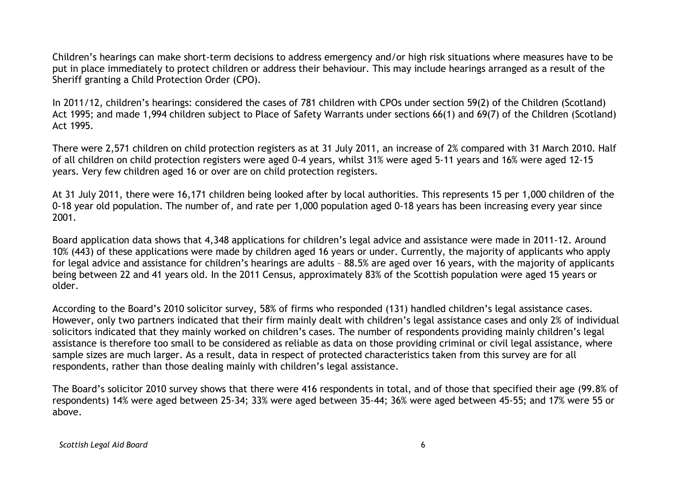Children's hearings can make short-term decisions to address emergency and/or high risk situations where measures have to be put in place immediately to protect children or address their behaviour. This may include hearings arranged as a result of the Sheriff granting a Child Protection Order (CPO).

In 2011/12, children's hearings: considered the cases of 781 children with CPOs under section 59(2) of the Children (Scotland) Act 1995; and made 1,994 children subject to Place of Safety Warrants under sections 66(1) and 69(7) of the Children (Scotland) Act 1995.

There were 2,571 children on child protection registers as at 31 July 2011, an increase of 2% compared with 31 March 2010. Half of all children on child protection registers were aged 0-4 years, whilst 31% were aged 5-11 years and 16% were aged 12-15 years. Very few children aged 16 or over are on child protection registers.

At 31 July 2011, there were 16,171 children being looked after by local authorities. This represents 15 per 1,000 children of the 0-18 year old population. The number of, and rate per 1,000 population aged 0-18 years has been increasing every year since 2001.

Board application data shows that 4,348 applications for children's legal advice and assistance were made in 2011-12. Around 10% (443) of these applications were made by children aged 16 years or under. Currently, the majority of applicants who apply for legal advice and assistance for children's hearings are adults – 88.5% are aged over 16 years, with the majority of applicants being between 22 and 41 years old. In the 2011 Census, approximately 83% of the Scottish population were aged 15 years or older.

According to the Board's 2010 solicitor survey, 58% of firms who responded (131) handled children's legal assistance cases. However, only two partners indicated that their firm mainly dealt with children's legal assistance cases and only 2% of individual solicitors indicated that they mainly worked on children's cases. The number of respondents providing mainly children's legal assistance is therefore too small to be considered as reliable as data on those providing criminal or civil legal assistance, where sample sizes are much larger. As a result, data in respect of protected characteristics taken from this survey are for all respondents, rather than those dealing mainly with children's legal assistance.

The Board's solicitor 2010 survey shows that there were 416 respondents in total, and of those that specified their age (99.8% of respondents) 14% were aged between 25-34; 33% were aged between 35-44; 36% were aged between 45-55; and 17% were 55 or above.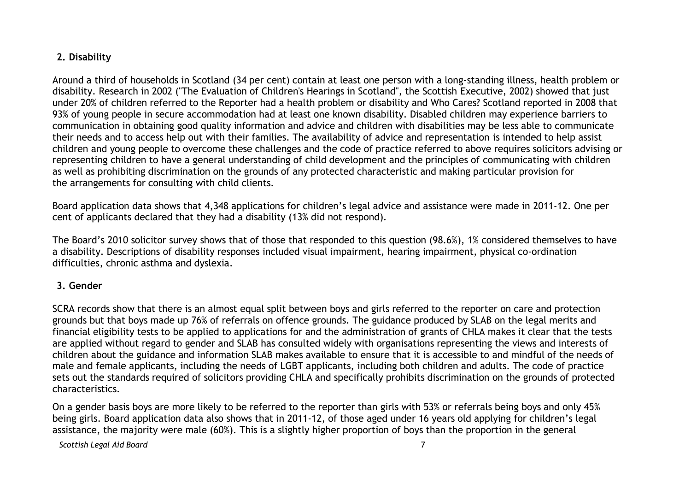#### **2. Disability**

Around a third of households in Scotland (34 per cent) contain at least one person with a long-standing illness, health problem or disability. Research in 2002 ("The Evaluation of Children's Hearings in Scotland", the Scottish Executive, 2002) showed that just under 20% of children referred to the Reporter had a health problem or disability and Who Cares? Scotland reported in 2008 that 93% of young people in secure accommodation had at least one known disability. Disabled children may experience barriers to communication in obtaining good quality information and advice and children with disabilities may be less able to communicate their needs and to access help out with their families. The availability of advice and representation is intended to help assist children and young people to overcome these challenges and the code of practice referred to above requires solicitors advising or representing children to have a general understanding of child development and the principles of communicating with children as well as prohibiting discrimination on the grounds of any protected characteristic and making particular provision for the arrangements for consulting with child clients.

Board application data shows that 4,348 applications for children's legal advice and assistance were made in 2011-12. One per cent of applicants declared that they had a disability (13% did not respond).

The Board's 2010 solicitor survey shows that of those that responded to this question (98.6%), 1% considered themselves to have a disability. Descriptions of disability responses included visual impairment, hearing impairment, physical co-ordination difficulties, chronic asthma and dyslexia.

## **3. Gender**

SCRA records show that there is an almost equal split between boys and girls referred to the reporter on care and protection grounds but that boys made up 76% of referrals on offence grounds. The guidance produced by SLAB on the legal merits and financial eligibility tests to be applied to applications for and the administration of grants of CHLA makes it clear that the tests are applied without regard to gender and SLAB has consulted widely with organisations representing the views and interests of children about the guidance and information SLAB makes available to ensure that it is accessible to and mindful of the needs of male and female applicants, including the needs of LGBT applicants, including both children and adults. The code of practice sets out the standards required of solicitors providing CHLA and specifically prohibits discrimination on the grounds of protected characteristics.

On a gender basis boys are more likely to be referred to the reporter than girls with 53% or referrals being boys and only 45% being girls. Board application data also shows that in 2011-12, of those aged under 16 years old applying for children's legal assistance, the majority were male (60%). This is a slightly higher proportion of boys than the proportion in the general

*Scottish Legal Aid Board* 7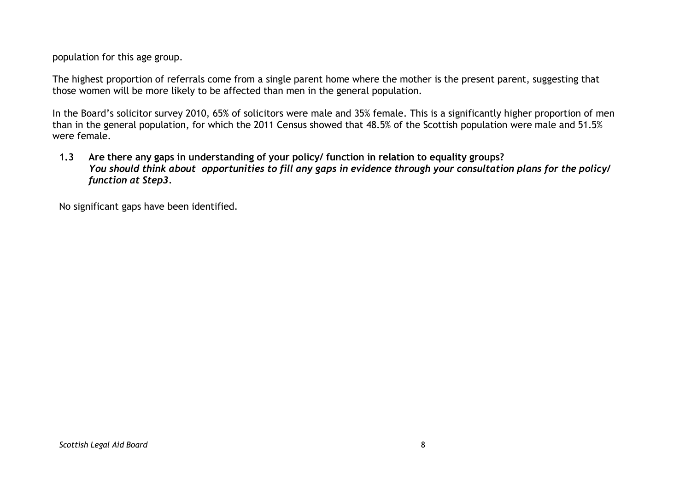population for this age group.

The highest proportion of referrals come from a single parent home where the mother is the present parent, suggesting that those women will be more likely to be affected than men in the general population.

In the Board's solicitor survey 2010, 65% of solicitors were male and 35% female. This is a significantly higher proportion of men than in the general population, for which the 2011 Census showed that 48.5% of the Scottish population were male and 51.5% were female.

**1.3 Are there any gaps in understanding of your policy/ function in relation to equality groups?** You should think about opportunities to fill any gaps in evidence through your consultation plans for the policyl *function at Step3.*

No significant gaps have been identified.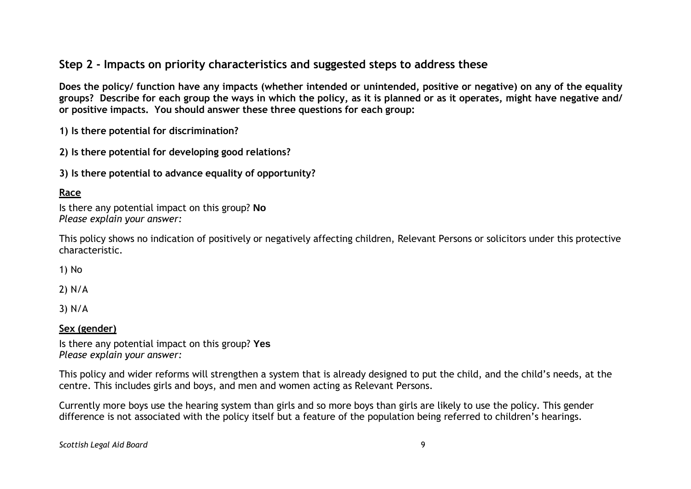# **Step 2 - Impacts on priority characteristics and suggested steps to address these**

Does the policy/ function have any impacts (whether intended or unintended, positive or negative) on any of the equality groups? Describe for each group the ways in which the policy, as it is planned or as it operates, might have negative and/ **or positive impacts. You should answer these three questions for each group:**

**1) Is there potential for discrimination?**

**2) Is there potential for developing good relations?**

**3) Is there potential to advance equality of opportunity?**

## **Race**

Is there any potential impact on this group? **No** *Please explain your answer:*

This policy shows no indication of positively or negatively affecting children, Relevant Persons or solicitors under this protective characteristic.

1) No

2) N/A

3) N/A

#### **Sex (gender)**

Is there any potential impact on this group? **Yes** *Please explain your answer:*

This policy and wider reforms will strengthen a system that is already designed to put the child, and the child's needs, at the centre. This includes girls and boys, and men and women acting as Relevant Persons.

Currently more boys use the hearing system than girls and so more boys than girls are likely to use the policy. This gender difference is not associated with the policy itself but a feature of the population being referred to children's hearings.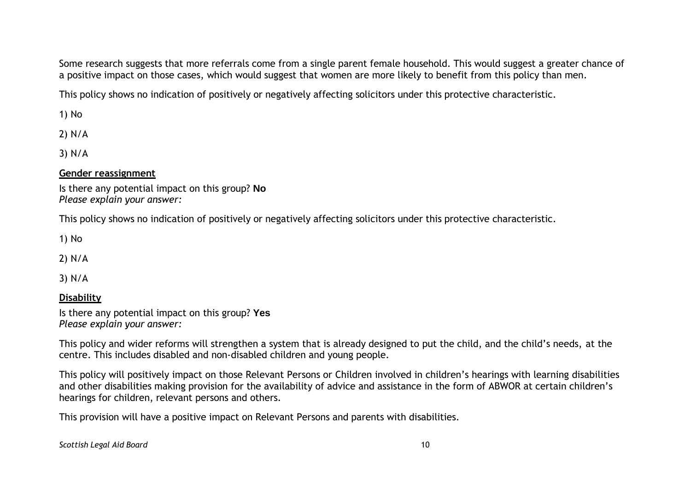Some research suggests that more referrals come from a single parent female household. This would suggest a greater chance of a positive impact on those cases, which would suggest that women are more likely to benefit from this policy than men.

This policy shows no indication of positively or negatively affecting solicitors under this protective characteristic.

1) No

2) N/A

3) N/A

#### **Gender reassignment**

Is there any potential impact on this group? **No** *Please explain your answer:*

This policy shows no indication of positively or negatively affecting solicitors under this protective characteristic.

1) No

2) N/A

3) N/A

#### **Disability**

Is there any potential impact on this group? **Yes** *Please explain your answer:*

This policy and wider reforms will strengthen a system that is already designed to put the child, and the child's needs, at the centre. This includes disabled and non-disabled children and young people.

This policy will positively impact on those Relevant Persons or Children involved in children's hearings with learning disabilities and other disabilities making provision for the availability of advice and assistance in the form of ABWOR at certain children's hearings for children, relevant persons and others.

This provision will have a positive impact on Relevant Persons and parents with disabilities.

*Scottish Legal Aid Board* 10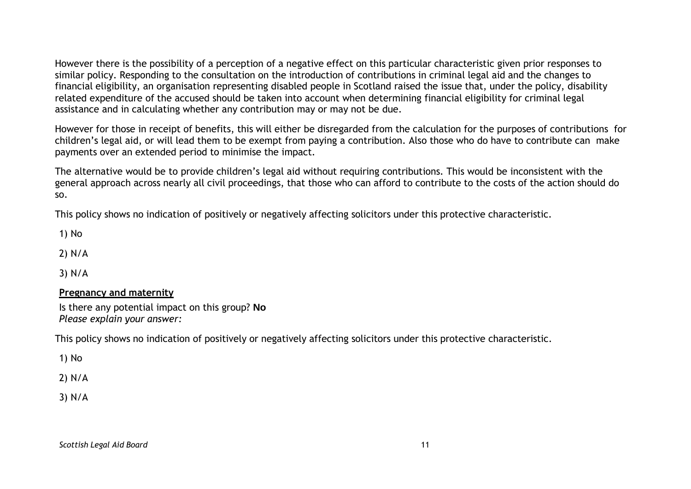However there is the possibility of a perception of a negative effect on this particular characteristic given prior responses to similar policy. Responding to the consultation on the introduction of contributions in criminal legal aid and the changes to financial eligibility, an organisation representing disabled people in Scotland raised the issue that, under the policy, disability related expenditure of the accused should be taken into account when determining financial eligibility for criminal legal assistance and in calculating whether any contribution may or may not be due.

However for those in receipt of benefits, this will either be disregarded from the calculation for the purposes of contributions for children's legal aid, or will lead them to be exempt from paying a contribution. Also those who do have to contribute can make payments over an extended period to minimise the impact.

The alternative would be to provide children's legal aid without requiring contributions. This would be inconsistent with the general approach across nearly all civil proceedings, that those who can afford to contribute to the costs of the action should do so.

This policy shows no indication of positively or negatively affecting solicitors under this protective characteristic.

1) No

2) N/A

3) N/A

#### **Pregnancy and maternity**

Is there any potential impact on this group? **No** *Please explain your answer:*

This policy shows no indication of positively or negatively affecting solicitors under this protective characteristic.

1) No

2) N/A

3) N/A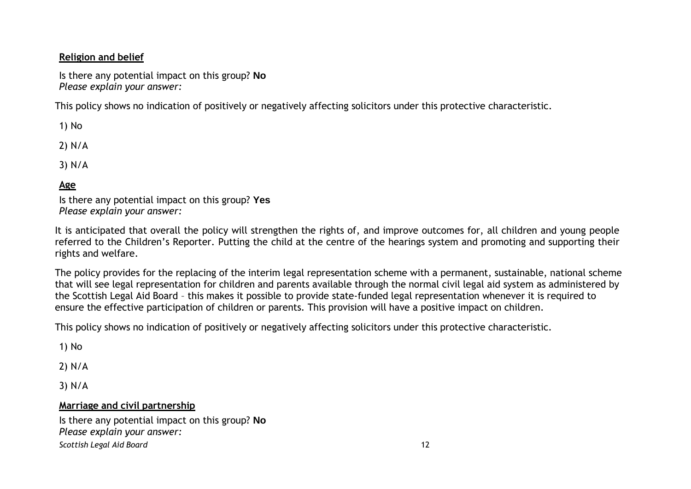### **Religion and belief**

Is there any potential impact on this group? **No** *Please explain your answer:*

This policy shows no indication of positively or negatively affecting solicitors under this protective characteristic.

1) No

2) N/A

3) N/A

## **Age**

Is there any potential impact on this group? **Yes** *Please explain your answer:*

It is anticipated that overall the policy will strengthen the rights of, and improve outcomes for, all children and young people referred to the Children's Reporter. Putting the child at the centre of the hearings system and promoting and supporting their rights and welfare.

The policy provides for the replacing of the interim legal representation scheme with a permanent, sustainable, national scheme that will see legal representation for children and parents available through the normal civil legal aid system as administered by the Scottish Legal Aid Board – this makes it possible to provide state-funded legal representation whenever it is required to ensure the effective participation of children or parents. This provision will have a positive impact on children.

This policy shows no indication of positively or negatively affecting solicitors under this protective characteristic.

1) No

2) N/A

3) N/A

#### **Marriage and civil partnership**

*Scottish Legal Aid Board* 12 Is there any potential impact on this group? **No** *Please explain your answer:*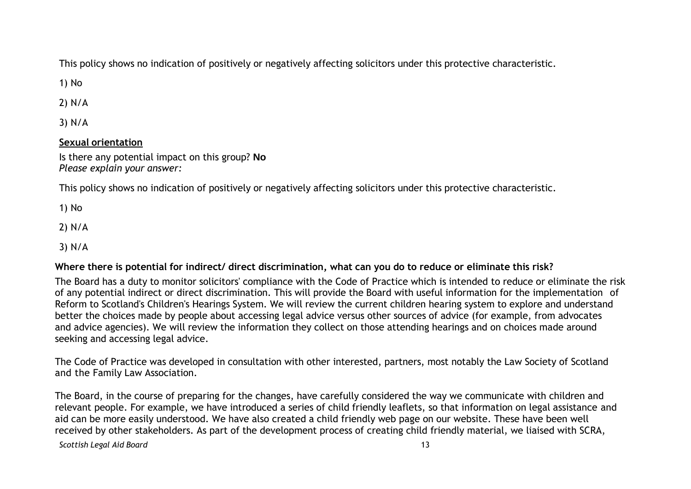This policy shows no indication of positively or negatively affecting solicitors under this protective characteristic.

1) No

2) N/A

3) N/A

#### **Sexual orientation**

Is there any potential impact on this group? **No** *Please explain your answer:*

This policy shows no indication of positively or negatively affecting solicitors under this protective characteristic.

1) No

2) N/A

3) N/A

#### Where there is potential for indirect/ direct discrimination, what can you do to reduce or eliminate this risk?

The Board has a duty to monitor solicitors' compliance with the Code of Practice which is intended to reduce or eliminate the risk of any potential indirect or direct discrimination. This will provide the Board with useful information for the implementation of Reform to Scotland's Children's Hearings System. We will review the current children hearing system to explore and understand better the choices made by people about accessing legal advice versus other sources of advice (for example, from advocates and advice agencies). We will review the information they collect on those attending hearings and on choices made around seeking and accessing legal advice.

The Code of Practice was developed in consultation with other interested, partners, most notably the Law Society of Scotland and the Family Law Association.

The Board, in the course of preparing for the changes, have carefully considered the way we communicate with children and relevant people. For example, we have introduced a series of child friendly leaflets, so that information on legal assistance and aid can be more easily understood. We have also created a child friendly web page on our website. These have been well received by other stakeholders. As part of the development process of creating child friendly material, we liaised with SCRA,

*Scottish Legal Aid Board* 13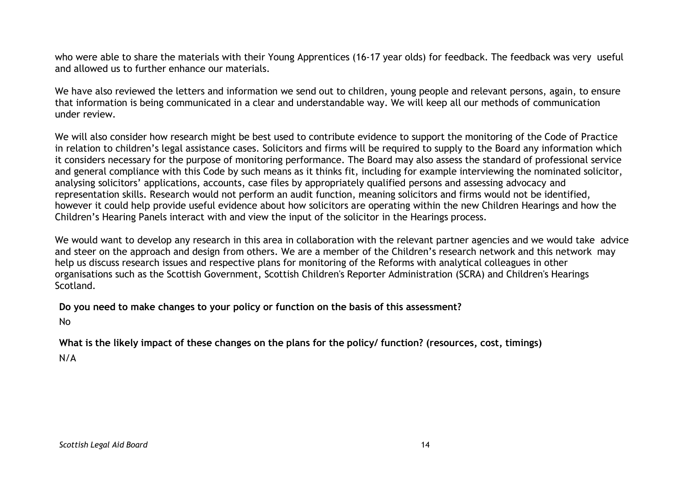who were able to share the materials with their Young Apprentices (16-17 year olds) for feedback. The feedback was very useful and allowed us to further enhance our materials.

We have also reviewed the letters and information we send out to children, young people and relevant persons, again, to ensure that information is being communicated in a clear and understandable way. We will keep all our methods of communication under review.

We will also consider how research might be best used to contribute evidence to support the monitoring of the Code of Practice in relation to children's legal assistance cases. Solicitors and firms will be required to supply to the Board any information which it considers necessary for the purpose of monitoring performance. The Board may also assess the standard of professional service and general compliance with this Code by such means as it thinks fit, including for example interviewing the nominated solicitor, analysing solicitors' applications, accounts, case files by appropriately qualified persons and assessing advocacy and representation skills. Research would not perform an audit function, meaning solicitors and firms would not be identified, however it could help provide useful evidence about how solicitors are operating within the new Children Hearings and how the Children's Hearing Panels interact with and view the input of the solicitor in the Hearings process.

We would want to develop any research in this area in collaboration with the relevant partner agencies and we would take advice and steer on the approach and design from others. We are a member of the Children's research network and this network may help us discuss research issues and respective plans for monitoring of the Reforms with analytical colleagues in other organisations such as the Scottish Government, Scottish Children's Reporter Administration (SCRA) and Children's Hearings Scotland.

**Do you need to make changes to your policy or function on the basis of this assessment?**

No

What is the likely impact of these changes on the plans for the policy/ function? (resources, cost, timings) N/A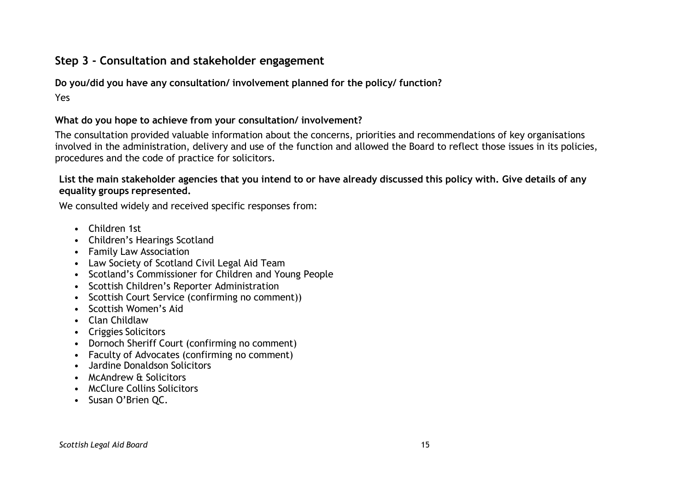# **Step 3 - Consultation and stakeholder engagement**

**Do you/did you have any consultation/ involvement planned for the policy/ function?**

Yes

## **What do you hope to achieve from your consultation/ involvement?**

The consultation provided valuable information about the concerns, priorities and recommendations of key organisations involved in the administration, delivery and use of the function and allowed the Board to reflect those issues in its policies, procedures and the code of practice for solicitors.

List the main stakeholder agencies that you intend to or have already discussed this policy with. Give details of any **equality groups represented.**

We consulted widely and received specific responses from:

- Children 1st
- Children's Hearings Scotland
- Family Law Association
- Law Society of Scotland Civil Legal Aid Team
- Scotland's Commissioner for Children and Young People
- Scottish Children's Reporter Administration
- Scottish Court Service (confirming no comment))
- Scottish Women's Aid
- Clan Childlaw
- Criggies Solicitors
- Dornoch Sheriff Court (confirming no comment)
- Faculty of Advocates (confirming no comment)
- Jardine Donaldson Solicitors
- McAndrew & Solicitors
- McClure Collins Solicitors
- Susan O'Brien QC.